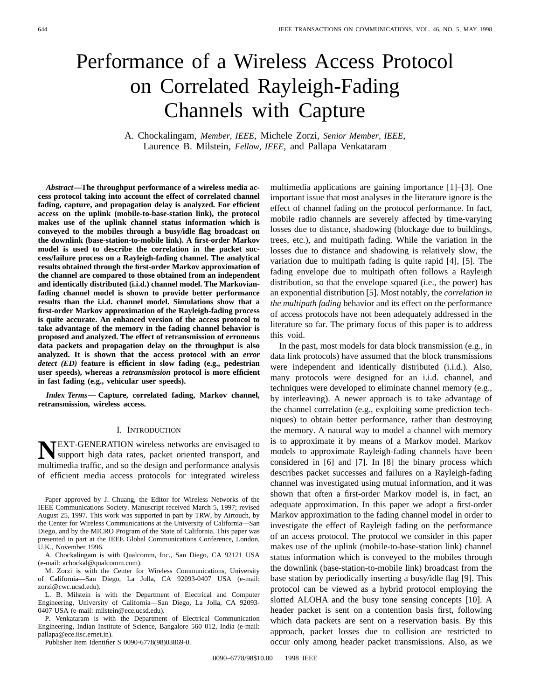# Performance of a Wireless Access Protocol on Correlated Rayleigh-Fading Channels with Capture

A. Chockalingam, *Member, IEEE*, Michele Zorzi, *Senior Member, IEEE*, Laurence B. Milstein, *Fellow, IEEE*, and Pallapa Venkataram

*Abstract—***The throughput performance of a wireless media access protocol taking into account the effect of correlated channel fading, capture, and propagation delay is analyzed. For efficient access on the uplink (mobile-to-base-station link), the protocol makes use of the uplink channel status information which is conveyed to the mobiles through a busy/idle flag broadcast on the downlink (base-station-to-mobile link). A first-order Markov model is used to describe the correlation in the packet success/failure process on a Rayleigh-fading channel. The analytical results obtained through the first-order Markov approximation of the channel are compared to those obtained from an independent and identically distributed (i.i.d.) channel model. The Markovianfading channel model is shown to provide better performance results than the i.i.d. channel model. Simulations show that a first-order Markov approximation of the Rayleigh-fading process is quite accurate. An enhanced version of the access protocol to take advantage of the memory in the fading channel behavior is proposed and analyzed. The effect of retransmission of erroneous data packets and propagation delay on the throughput is also analyzed. It is shown that the access protocol with an** *error detect (ED)* **feature is efficient in slow fading (e.g., pedestrian user speeds), whereas a** *retransmission* **protocol is more efficient in fast fading (e.g., vehicular user speeds).**

*Index Terms—* **Capture, correlated fading, Markov channel, retransmission, wireless access.**

#### I. INTRODUCTION

**NEXT-GENERATION** wireless networks are envisaged to support high data rates, packet oriented transport, and multimedia traffic, and so the design and performance analysis of efficient media access protocols for integrated wireless

Paper approved by J. Chuang, the Editor for Wireless Networks of the IEEE Communications Society. Manuscript received March 5, 1997; revised August 25, 1997. This work was supported in part by TRW, by Airtouch, by the Center for Wireless Communications at the University of California—San Diego, and by the MICRO Program of the State of California. This paper was presented in part at the IEEE Global Communications Conference, London, U.K., November 1996.

A. Chockalingam is with Qualcomm, Inc., San Diego, CA 92121 USA (e-mail: achockal@qualcomm.com).

M. Zorzi is with the Center for Wireless Communications, University of California—San Diego, La Jolla, CA 92093-0407 USA (e-mail: zorzi@cwc.ucsd.edu).

L. B. Milstein is with the Department of Electrical and Computer Engineering, University of California—San Diego, La Jolla, CA 92093- 0407 USA (e-mail: milstein@ece.ucsd.edu).

P. Venkataram is with the Department of Electrical Communication Engineering, Indian Institute of Science, Bangalore 560 012, India (e-mail: pallapa@ece.iisc.ernet.in).

Publisher Item Identifier S 0090-6778(98)03869-0.

multimedia applications are gaining importance [1]–[3]. One important issue that most analyses in the literature ignore is the effect of channel fading on the protocol performance. In fact, mobile radio channels are severely affected by time-varying losses due to distance, shadowing (blockage due to buildings, trees, etc.), and multipath fading. While the variation in the losses due to distance and shadowing is relatively slow, the variation due to multipath fading is quite rapid [4], [5]. The fading envelope due to multipath often follows a Rayleigh distribution, so that the envelope squared (i.e., the power) has an exponential distribution [5]. Most notably, the *correlation in the multipath fading* behavior and its effect on the performance of access protocols have not been adequately addressed in the literature so far. The primary focus of this paper is to address this void.

In the past, most models for data block transmission (e.g., in data link protocols) have assumed that the block transmissions were independent and identically distributed (i.i.d.). Also, many protocols were designed for an i.i.d. channel, and techniques were developed to eliminate channel memory (e.g., by interleaving). A newer approach is to take advantage of the channel correlation (e.g., exploiting some prediction techniques) to obtain better performance, rather than destroying the memory. A natural way to model a channel with memory is to approximate it by means of a Markov model. Markov models to approximate Rayleigh-fading channels have been considered in [6] and [7]. In [8] the binary process which describes packet successes and failures on a Rayleigh-fading channel was investigated using mutual information, and it was shown that often a first-order Markov model is, in fact, an adequate approximation. In this paper we adopt a first-order Markov approximation to the fading channel model in order to investigate the effect of Rayleigh fading on the performance of an access protocol. The protocol we consider in this paper makes use of the uplink (mobile-to-base-station link) channel status information which is conveyed to the mobiles through the downlink (base-station-to-mobile link) broadcast from the base station by periodically inserting a busy/idle flag [9]. This protocol can be viewed as a hybrid protocol employing the slotted ALOHA and the busy tone sensing concepts [10]. A header packet is sent on a contention basis first, following which data packets are sent on a reservation basis. By this approach, packet losses due to collision are restricted to occur only among header packet transmissions. Also, as we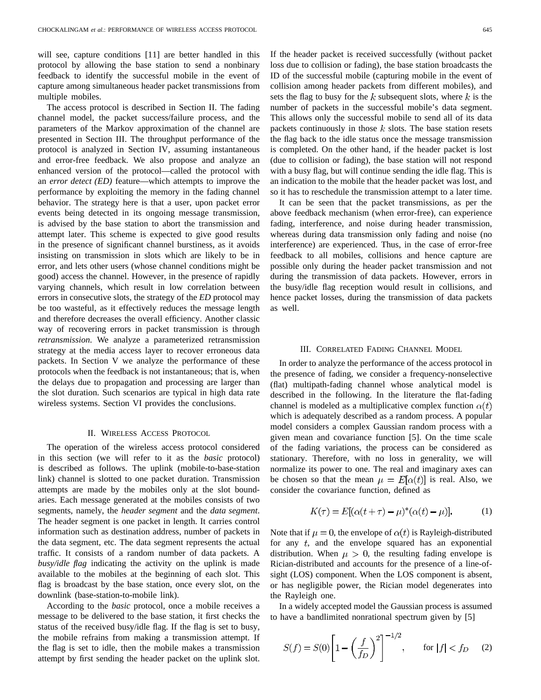will see, capture conditions [11] are better handled in this protocol by allowing the base station to send a nonbinary feedback to identify the successful mobile in the event of capture among simultaneous header packet transmissions from multiple mobiles.

The access protocol is described in Section II. The fading channel model, the packet success/failure process, and the parameters of the Markov approximation of the channel are presented in Section III. The throughput performance of the protocol is analyzed in Section IV, assuming instantaneous and error-free feedback. We also propose and analyze an enhanced version of the protocol—called the protocol with an *error detect (ED)* feature—which attempts to improve the performance by exploiting the memory in the fading channel behavior. The strategy here is that a user, upon packet error events being detected in its ongoing message transmission, is advised by the base station to abort the transmission and attempt later. This scheme is expected to give good results in the presence of significant channel burstiness, as it avoids insisting on transmission in slots which are likely to be in error, and lets other users (whose channel conditions might be good) access the channel. However, in the presence of rapidly varying channels, which result in low correlation between errors in consecutive slots, the strategy of the *ED* protocol may be too wasteful, as it effectively reduces the message length and therefore decreases the overall efficiency. Another classic way of recovering errors in packet transmission is through *retransmission*. We analyze a parameterized retransmission strategy at the media access layer to recover erroneous data packets. In Section V we analyze the performance of these protocols when the feedback is not instantaneous; that is, when the delays due to propagation and processing are larger than the slot duration. Such scenarios are typical in high data rate wireless systems. Section VI provides the conclusions.

#### II. WIRELESS ACCESS PROTOCOL

The operation of the wireless access protocol considered in this section (we will refer to it as the *basic* protocol) is described as follows. The uplink (mobile-to-base-station link) channel is slotted to one packet duration. Transmission attempts are made by the mobiles only at the slot boundaries. Each message generated at the mobiles consists of two segments, namely, the *header segment* and the *data segment*. The header segment is one packet in length. It carries control information such as destination address, number of packets in the data segment, etc. The data segment represents the actual traffic. It consists of a random number of data packets. A *busy/idle flag* indicating the activity on the uplink is made available to the mobiles at the beginning of each slot. This flag is broadcast by the base station, once every slot, on the downlink (base-station-to-mobile link).

According to the *basic* protocol, once a mobile receives a message to be delivered to the base station, it first checks the status of the received busy/idle flag. If the flag is set to busy, the mobile refrains from making a transmission attempt. If the flag is set to idle, then the mobile makes a transmission attempt by first sending the header packet on the uplink slot.

If the header packet is received successfully (without packet loss due to collision or fading), the base station broadcasts the ID of the successful mobile (capturing mobile in the event of collision among header packets from different mobiles), and sets the flag to busy for the  $k$  subsequent slots, where  $k$  is the number of packets in the successful mobile's data segment. This allows only the successful mobile to send all of its data packets continuously in those  $k$  slots. The base station resets the flag back to the idle status once the message transmission is completed. On the other hand, if the header packet is lost (due to collision or fading), the base station will not respond with a busy flag, but will continue sending the idle flag. This is an indication to the mobile that the header packet was lost, and so it has to reschedule the transmission attempt to a later time.

It can be seen that the packet transmissions, as per the above feedback mechanism (when error-free), can experience fading, interference, and noise during header transmission, whereas during data transmission only fading and noise (no interference) are experienced. Thus, in the case of error-free feedback to all mobiles, collisions and hence capture are possible only during the header packet transmission and not during the transmission of data packets. However, errors in the busy/idle flag reception would result in collisions, and hence packet losses, during the transmission of data packets as well.

#### III. CORRELATED FADING CHANNEL MODEL

In order to analyze the performance of the access protocol in the presence of fading, we consider a frequency-nonselective (flat) multipath-fading channel whose analytical model is described in the following. In the literature the flat-fading channel is modeled as a multiplicative complex function  $\alpha(t)$ which is adequately described as a random process. A popular model considers a complex Gaussian random process with a given mean and covariance function [5]. On the time scale of the fading variations, the process can be considered as stationary. Therefore, with no loss in generality, we will normalize its power to one. The real and imaginary axes can be chosen so that the mean  $\mu = E[\alpha(t)]$  is real. Also, we consider the covariance function, defined as

$$
K(\tau) = E[(\alpha(t+\tau) - \mu)^*(\alpha(t) - \mu)].
$$
 (1)

Note that if  $\mu = 0$ , the envelope of  $\alpha(t)$  is Rayleigh-distributed for any  $t$ , and the envelope squared has an exponential distribution. When  $\mu > 0$ , the resulting fading envelope is Rician-distributed and accounts for the presence of a line-ofsight (LOS) component. When the LOS component is absent, or has negligible power, the Rician model degenerates into the Rayleigh one.

In a widely accepted model the Gaussian process is assumed to have a bandlimited nonrational spectrum given by [5]

$$
S(f) = S(0) \left[ 1 - \left(\frac{f}{f_D}\right)^2 \right]^{-1/2}, \quad \text{for } |f| < f_D \quad (2)
$$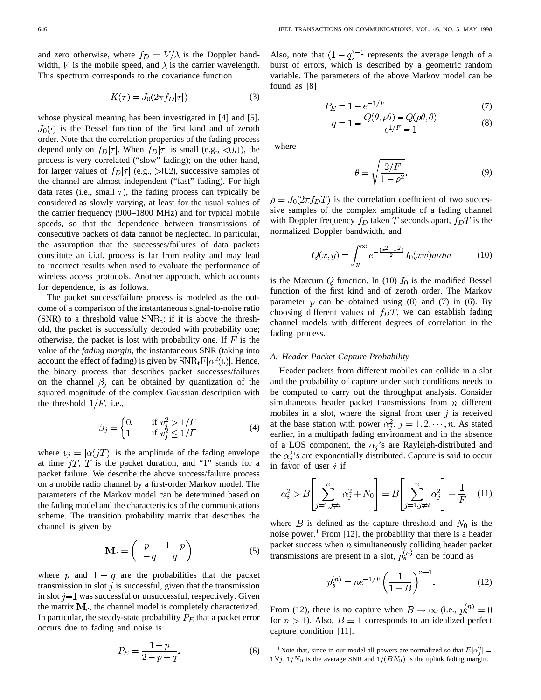and zero otherwise, where  $f_D = V/\lambda$  is the Doppler bandwidth, V is the mobile speed, and  $\lambda$  is the carrier wavelength. This spectrum corresponds to the covariance function

$$
K(\tau) = J_0(2\pi f_D|\tau|)
$$
 (3)

whose physical meaning has been investigated in [4] and [5].  $J_0(\cdot)$  is the Bessel function of the first kind and of zeroth order. Note that the correlation properties of the fading process depend only on  $f_D|\tau|$ . When  $f_D|\tau|$  is small (e.g., <0.1), the process is very correlated ("slow" fading); on the other hand, for larger values of  $f_D|\tau|$  (e.g., >0.2), successive samples of the channel are almost independent ("fast" fading). For high data rates (i.e., small  $\tau$ ), the fading process can typically be considered as slowly varying, at least for the usual values of the carrier frequency (900–1800 MHz) and for typical mobile speeds, so that the dependence between transmissions of consecutive packets of data cannot be neglected. In particular, the assumption that the successes/failures of data packets constitute an i.i.d. process is far from reality and may lead to incorrect results when used to evaluate the performance of wireless access protocols. Another approach, which accounts for dependence, is as follows.

The packet success/failure process is modeled as the outcome of a comparison of the instantaneous signal-to-noise ratio (SNR) to a threshold value  $SNR_t$ : if it is above the threshold, the packet is successfully decoded with probability one; otherwise, the packet is lost with probability one. If  $F$  is the value of the *fading margin*, the instantaneous SNR (taking into account the effect of fading) is given by  $SNR<sub>t</sub>F|\alpha^2(t)|$ . Hence, the binary process that describes packet successes/failures on the channel  $\beta_i$  can be obtained by quantization of the squared magnitude of the complex Gaussian description with the threshold  $1/F$ , i.e.,

$$
\beta_j = \begin{cases} 0, & \text{if } v_j^2 > 1/F \\ 1, & \text{if } v_j^2 \le 1/F \end{cases}
$$
 (4)

where  $v_i = |\alpha(jT)|$  is the amplitude of the fading envelope at time  $jT$ , T is the packet duration, and "1" stands for a packet failure. We describe the above success/failure process on a mobile radio channel by a first-order Markov model. The parameters of the Markov model can be determined based on the fading model and the characteristics of the communications scheme. The transition probability matrix that describes the channel is given by

$$
\mathbf{M}_c = \begin{pmatrix} p & 1-p \\ 1-q & q \end{pmatrix} \tag{5}
$$

where p and  $1-q$  are the probabilities that the packet transmission in slot  $j$  is successful, given that the transmission in slot  $j-1$  was successful or unsuccessful, respectively. Given the matrix  $M_c$ , the channel model is completely characterized. In particular, the steady-state probability  $P_E$  that a packet error occurs due to fading and noise is

$$
P_E = \frac{1-p}{2-p-q}.\tag{6}
$$

Also, note that  $(1 - q)^{-1}$  represents the average length of a burst of errors, which is described by a geometric random variable. The parameters of the above Markov model can be found as [8]

$$
P_E = 1 - e^{-1/F} \tag{7}
$$

$$
q = 1 - \frac{Q(\theta, \rho\theta) - Q(\rho\theta, \theta)}{e^{1/F} - 1}
$$
 (8)

where

$$
\theta = \sqrt{\frac{2/F}{1 - \rho^2}}.\tag{9}
$$

 $\rho = J_0(2\pi f_D T)$  is the correlation coefficient of two successive samples of the complex amplitude of a fading channel with Doppler frequency  $f_D$  taken T seconds apart,  $f_D T$  is the normalized Doppler bandwidth, and

$$
Q(x,y) = \int_{y}^{\infty} e^{-\frac{(x^2 + w^2)}{2}} I_0(xw)w \, dw \tag{10}
$$

is the Marcum Q function. In (10)  $I_0$  is the modified Bessel function of the first kind and of zeroth order. The Markov parameter  $p$  can be obtained using (8) and (7) in (6). By choosing different values of  $f<sub>D</sub>T$ , we can establish fading channel models with different degrees of correlation in the fading process.

#### *A. Header Packet Capture Probability*

Header packets from different mobiles can collide in a slot and the probability of capture under such conditions needs to be computed to carry out the throughput analysis. Consider simultaneous header packet transmissions from  $n$  different mobiles in a slot, where the signal from user  $j$  is received at the base station with power  $\alpha_j^2$ ,  $j = 1, 2, \dots, n$ . As stated earlier, in a multipath fading environment and in the absence of a LOS component, the  $\alpha_i$ 's are Rayleigh-distributed and the  $\alpha_i^2$ 's are exponentially distributed. Capture is said to occur in favor of user  $i$  if

$$
\alpha_i^2 > B \left[ \sum_{j=1, j \neq i}^n \alpha_j^2 + N_0 \right] = B \left[ \sum_{j=1, j \neq i}^n \alpha_j^2 \right] + \frac{1}{F} \quad (11)
$$

where  $B$  is defined as the capture threshold and  $N_0$  is the noise power.<sup>1</sup> From [12], the probability that there is a header packet success when  $n$  simultaneously colliding header packet transmissions are present in a slot,  $p_s^{(n)}$  can be found as

$$
p_s^{(n)} = ne^{-1/F} \left(\frac{1}{1+B}\right)^{n-1}.
$$
 (12)

From (12), there is no capture when  $B \to \infty$  (i.e.,  $p_s^{(n)} = 0$ for  $n > 1$ ). Also,  $B = 1$  corresponds to an idealized perfect capture condition [11].

<sup>1</sup>Note that, since in our model all powers are normalized so that  $E[\alpha_j^2] =$  $1 \forall j$ ,  $1/N_0$  is the average SNR and  $1/(BN_0)$  is the uplink fading margin.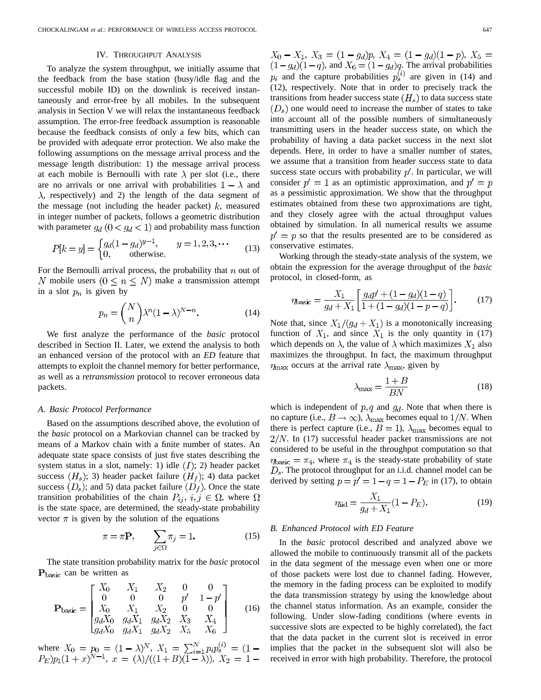# IV. THROUGHPUT ANALYSIS

To analyze the system throughput, we initially assume that the feedback from the base station (busy/idle flag and the successful mobile ID) on the downlink is received instantaneously and error-free by all mobiles. In the subsequent analysis in Section V we will relax the instantaneous feedback assumption. The error-free feedback assumption is reasonable because the feedback consists of only a few bits, which can be provided with adequate error protection. We also make the following assumptions on the message arrival process and the message length distribution: 1) the message arrival process at each mobile is Bernoulli with rate  $\lambda$  per slot (i.e., there are no arrivals or one arrival with probabilities  $1 - \lambda$  and  $\lambda$ , respectively) and 2) the length of the data segment of the message (not including the header packet)  $k$ , measured in integer number of packets, follows a geometric distribution with parameter  $g_d$  ( $0 < g_d < 1$ ) and probability mass function

$$
P[k = y] = \begin{cases} ga(1 - ga)^{y-1}, & y = 1, 2, 3, \cdots \\ 0, & \text{otherwise.} \end{cases}
$$
(13)

For the Bernoulli arrival process, the probability that  $n$  out of N mobile users  $(0 \le n \le N)$  make a transmission attempt in a slot  $p_n$  is given by

$$
p_n = \binom{N}{n} \lambda^n (1 - \lambda)^{N - n}.\tag{14}
$$

We first analyze the performance of the *basic* protocol described in Section II. Later, we extend the analysis to both an enhanced version of the protocol with an *ED* feature that attempts to exploit the channel memory for better performance, as well as a *retransmission* protocol to recover erroneous data packets.

#### *A. Basic Protocol Performance*

Based on the assumptions described above, the evolution of the *basic* protocol on a Markovian channel can be tracked by means of a Markov chain with a finite number of states. An adequate state space consists of just five states describing the system status in a slot, namely: 1) idle  $(I)$ ; 2) header packet success  $(H_s)$ ; 3) header packet failure  $(H_f)$ ; 4) data packet success  $(D_s)$ ; and 5) data packet failure  $(D_f)$ . Once the state transition probabilities of the chain  $P_{ij}$ ,  $i, j \in \Omega$ , where  $\Omega$ is the state space, are determined, the steady-state probability vector  $\pi$  is given by the solution of the equations

$$
\pi = \pi \mathbf{P}, \qquad \sum_{j \in \Omega} \pi_j = 1. \tag{15}
$$

The state transition probability matrix for the *basic* protocol  $P_{\text{basic}}$  can be written as

$$
\mathbf{P}_{\text{basic}} = \begin{bmatrix} X_0 & X_1 & X_2 & 0 & 0 \\ 0 & 0 & 0 & p' & 1 - p' \\ X_0 & X_1 & X_2 & 0 & 0 \\ g_d X_0 & g_d X_1 & g_d X_2 & X_3 & X_4 \\ g_d X_0 & g_d X_1 & g_d X_2 & X_5 & X_6 \end{bmatrix}
$$
 (16)

where  $X_0 = p_0 = (1 - \lambda)^N$ , ,  $x = (\lambda)/((1+B)(1-\lambda)),$ 

 $X_0 - X_1, X_3 = (1 - g_d)p, X_4 = (1 - g_d)(1 - p), X_5 =$  $(1 - g_d)(1 - q)$ , and  $X_6 = (1 - g_d)q$ . The arrival probabilities  $p_i$  and the capture probabilities  $p_s^{(i)}$  are given in (14) and (12), respectively. Note that in order to precisely track the transitions from header success state  $(H_s)$  to data success state  $(D<sub>s</sub>)$  one would need to increase the number of states to take into account all of the possible numbers of simultaneously transmitting users in the header success state, on which the probability of having a data packet success in the next slot depends. Here, in order to have a smaller number of states, we assume that a transition from header success state to data success state occurs with probability  $p'$ . In particular, we will consider  $p' = 1$  as an optimistic approximation, and  $p' = p$ as a pessimistic approximation. We show that the throughput estimates obtained from these two approximations are tight, and they closely agree with the actual throughput values obtained by simulation. In all numerical results we assume  $p' = p$  so that the results presented are to be considered as conservative estimates.

Working through the steady-state analysis of the system, we obtain the expression for the average throughput of the *basic* protocol, in closed-form, as

$$
\eta_{\text{basic}} = \frac{X_1}{g_d + X_1} \left[ \frac{g_d p' + (1 - g_d)(1 - q)}{1 + (1 - g_d)(1 - p - q)} \right]. \tag{17}
$$

Note that, since  $X_1/(g_d + X_1)$  is a monotonically increasing function of  $X_1$ , and since  $X_1$  is the only quantity in (17) which depends on  $\lambda$ , the value of  $\lambda$  which maximizes  $X_1$  also maximizes the throughput. In fact, the maximum throughput  $\eta_{\text{max}}$  occurs at the arrival rate  $\lambda_{\text{max}}$ , given by

$$
\lambda_{\text{max}} = \frac{1+B}{BN} \tag{18}
$$

which is independent of  $p, q$  and  $g_d$ . Note that when there is no capture (i.e.,  $B \to \infty$ ),  $\lambda_{\text{max}}$  becomes equal to  $1/N$ . When there is perfect capture (i.e.,  $B = 1$ ),  $\lambda_{\text{max}}$  becomes equal to  $2/N$ . In (17) successful header packet transmissions are not considered to be useful in the throughput computation so that  $\eta_{\text{basic}} = \pi_4$ , where  $\pi_4$  is the steady-state probability of state  $D_s$ . The protocol throughput for an i.i.d. channel model can be derived by setting  $p = p' = 1 - q = 1 - P_E$  in (17), to obtain

$$
\eta_{\rm iid} = \frac{X_1}{g_d + X_1} (1 - P_E). \tag{19}
$$

## *B. Enhanced Protocol with ED Feature*

In the *basic* protocol described and analyzed above we allowed the mobile to continuously transmit all of the packets in the data segment of the message even when one or more of those packets were lost due to channel fading. However, the memory in the fading process can be exploited to modify the data transmission strategy by using the knowledge about the channel status information. As an example, consider the following. Under slow-fading conditions (where events in successive slots are expected to be highly correlated), the fact that the data packet in the current slot is received in error implies that the packet in the subsequent slot will also be received in error with high probability. Therefore, the protocol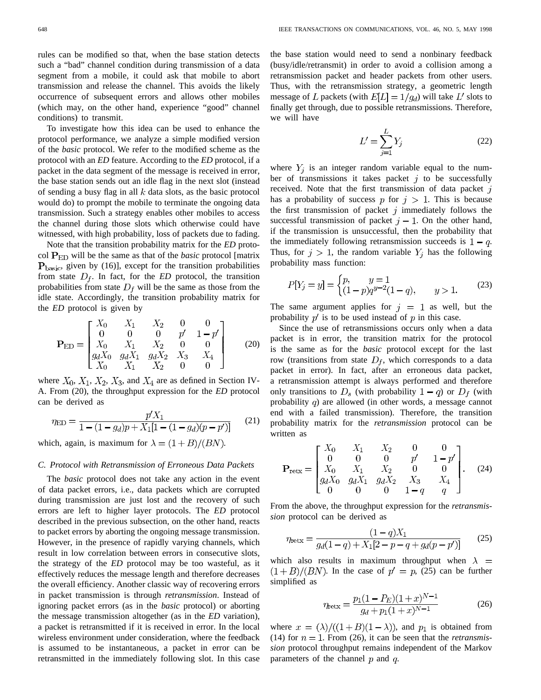rules can be modified so that, when the base station detects such a "bad" channel condition during transmission of a data segment from a mobile, it could ask that mobile to abort transmission and release the channel. This avoids the likely occurrence of subsequent errors and allows other mobiles (which may, on the other hand, experience "good" channel conditions) to transmit.

To investigate how this idea can be used to enhance the protocol performance, we analyze a simple modified version of the *basic* protocol. We refer to the modified scheme as the protocol with an *ED* feature. According to the *ED* protocol, if a packet in the data segment of the message is received in error, the base station sends out an idle flag in the next slot (instead of sending a busy flag in all  $k$  data slots, as the basic protocol would do) to prompt the mobile to terminate the ongoing data transmission. Such a strategy enables other mobiles to access the channel during those slots which otherwise could have witnessed, with high probability, loss of packets due to fading.

Note that the transition probability matrix for the *ED* protocol  $P_{ED}$  will be the same as that of the *basic* protocol [matrix  $P_{\text{basic}}$ , given by (16)], except for the transition probabilities from state  $D_f$ . In fact, for the *ED* protocol, the transition probabilities from state  $D_f$  will be the same as those from the idle state. Accordingly, the transition probability matrix for the *ED* protocol is given by

$$
\mathbf{P}_{\rm ED} = \begin{bmatrix} X_0 & X_1 & X_2 & 0 & 0 \\ 0 & 0 & 0 & p' & 1 - p' \\ X_0 & X_1 & X_2 & 0 & 0 \\ gaX_0 & gaX_1 & gaX_2 & X_3 & X_4 \\ X_0 & X_1 & X_2 & 0 & 0 \end{bmatrix}
$$
 (20)

where  $X_0, X_1, X_2, X_3$ , and  $X_4$  are as defined in Section IV-A. From (20), the throughput expression for the *ED* protocol can be derived as

$$
\eta_{\rm ED} = \frac{p'X_1}{1 - (1 - g_d)p + X_1[1 - (1 - g_d)(p - p')]}\tag{21}
$$

which, again, is maximum for  $\lambda = (1 + B)/(BN)$ .

# *C. Protocol with Retransmission of Erroneous Data Packets*

The *basic* protocol does not take any action in the event of data packet errors, i.e., data packets which are corrupted during transmission are just lost and the recovery of such errors are left to higher layer protocols. The *ED* protocol described in the previous subsection, on the other hand, reacts to packet errors by aborting the ongoing message transmission. However, in the presence of rapidly varying channels, which result in low correlation between errors in consecutive slots, the strategy of the *ED* protocol may be too wasteful, as it effectively reduces the message length and therefore decreases the overall efficiency. Another classic way of recovering errors in packet transmission is through *retransmission*. Instead of ignoring packet errors (as in the *basic* protocol) or aborting the message transmission altogether (as in the *ED* variation), a packet is retransmitted if it is received in error. In the local wireless environment under consideration, where the feedback is assumed to be instantaneous, a packet in error can be retransmitted in the immediately following slot. In this case the base station would need to send a nonbinary feedback (busy/idle/retransmit) in order to avoid a collision among a retransmission packet and header packets from other users. Thus, with the retransmission strategy, a geometric length message of L packets (with  $E[L] = 1/g_d$ ) will take L' slots to finally get through, due to possible retransmissions. Therefore, we will have

$$
L' = \sum_{j=1}^{L} Y_j
$$
 (22)

where  $Y_i$  is an integer random variable equal to the number of transmissions it takes packet  $j$  to be successfully received. Note that the first transmission of data packet  $j$ has a probability of success p for  $j > 1$ . This is because the first transmission of packet  $j$  immediately follows the successful transmission of packet  $j - 1$ . On the other hand, if the transmission is unsuccessful, then the probability that the immediately following retransmission succeeds is  $1 - q$ . Thus, for  $j > 1$ , the random variable  $Y_j$  has the following probability mass function:

$$
P[Y_j = y] = \begin{cases} p, & y = 1\\ (1 - p)q^{y - 2}(1 - q), & y > 1. \end{cases} \tag{23}
$$

The same argument applies for  $j = 1$  as well, but the probability  $p'$  is to be used instead of p in this case.

Since the use of retransmissions occurs only when a data packet is in error, the transition matrix for the protocol is the same as for the *basic* protocol except for the last row (transitions from state  $D_f$ , which corresponds to a data packet in error). In fact, after an erroneous data packet, a retransmission attempt is always performed and therefore only transitions to  $D_s$  (with probability  $1 - q$ ) or  $D_f$  (with probability  $q$ ) are allowed (in other words, a message cannot end with a failed transmission). Therefore, the transition probability matrix for the *retransmission* protocol can be written as

$$
\mathbf{P}_{\text{retx}} = \begin{bmatrix} X_0 & X_1 & X_2 & 0 & 0 \\ 0 & 0 & 0 & p' & 1 - p' \\ X_0 & X_1 & X_2 & 0 & 0 \\ gaX_0 & gaX_1 & gaX_2 & X_3 & X_4 \\ 0 & 0 & 0 & 1 - q & q \end{bmatrix} .
$$
 (24)

From the above, the throughput expression for the *retransmission* protocol can be derived as

$$
\eta_{\text{retx}} = \frac{(1-q)X_1}{g_d(1-q) + X_1[2-p-q+g_d(p-p')]}\tag{25}
$$

which also results in maximum throughput when  $\lambda =$  $(1+B)/(BN)$ . In the case of  $p' = p$ , (25) can be further simplified as

$$
\eta_{\text{retx}} = \frac{p_1(1 - P_E)(1 + x)^{N - 1}}{g_d + p_1(1 + x)^{N - 1}}\tag{26}
$$

where  $x = (\lambda) / ((1 + B)(1 - \lambda))$ , and  $p_1$  is obtained from  $(14)$  for  $n = 1$ . From (26), it can be seen that the *retransmission* protocol throughput remains independent of the Markov parameters of the channel  $p$  and  $q$ .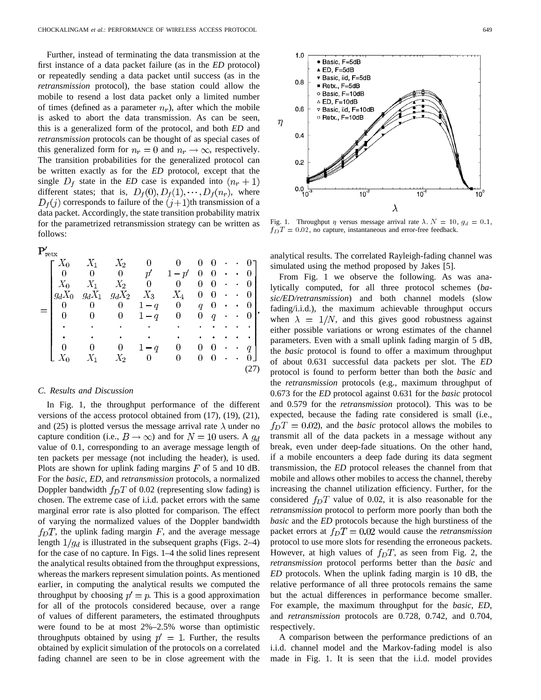Further, instead of terminating the data transmission at the first instance of a data packet failure (as in the *ED* protocol) or repeatedly sending a data packet until success (as in the *retransmission* protocol), the base station could allow the mobile to resend a lost data packet only a limited number of times (defined as a parameter  $n_r$ ), after which the mobile is asked to abort the data transmission. As can be seen, this is a generalized form of the protocol, and both *ED* and *retransmission* protocols can be thought of as special cases of this generalized form for  $n_r = 0$  and  $n_r \to \infty$ , respectively. The transition probabilities for the generalized protocol can be written exactly as for the *ED* protocol, except that the single  $D_f$  state in the *ED* case is expanded into  $(n_r + 1)$ different states; that is,  $D_f(0), D_f(1), \cdots, D_f(n_r)$ , where  $D_f(j)$  corresponds to failure of the  $(j+1)$ th transmission of a data packet. Accordingly, the state transition probability matrix for the parametrized retransmission strategy can be written as follows:

| $P'_{\text{retx}}$ |          |          |          |                |           |                  |                  |           |           |      |  |
|--------------------|----------|----------|----------|----------------|-----------|------------------|------------------|-----------|-----------|------|--|
|                    | $X_0$    | $X_1$    | $X_2$    | $\overline{0}$ | 0         | 0                | 0                | $\bullet$ | ٠         |      |  |
|                    |          | $\bf{0}$ | $\bf{0}$ | $p^{\prime}$   | $1-p'$    | $\bf{0}$         | $\bf{0}$         | $\sim$    | $\bullet$ | 0    |  |
|                    | $X_0$    | $X_1$    | $X_2$    | $\bf{0}$       | 0         | 0                | $\overline{0}$   | $\bullet$ | $\bullet$ | 0    |  |
|                    | $g_dX_0$ | $g_dX_1$ | $g_dX_2$ | $X_3$          | $X_4$     | 0                | $\boldsymbol{0}$ | $\bullet$ | $\bullet$ | 0    |  |
|                    | 0        | 0        | 0        | $1-q$          | 0         | q                | $\bf{0}$         | $\bullet$ | ٠         | 0    |  |
|                    | 0        | 0        | 0        | $1-q$          | 0         | $\boldsymbol{0}$ | $\overline{q}$   | ٠         | $\bullet$ | 0    |  |
|                    | ٠        | ٠        | ٠        | ٠              | $\bullet$ | ٠                |                  |           |           | ٠    |  |
|                    | ٠        | ٠        | ٠        | ٠              | ٠         | ٠                |                  |           |           | ٠    |  |
|                    |          |          | 0        | $1-q$          | 0         | 0                | 0                | $\bullet$ | $\bullet$ | q    |  |
|                    | $X_0$    | $X_1$    | $X_2$    | 0              | 0         | 0                | 0                | $\bullet$ | $\bullet$ |      |  |
|                    |          |          |          |                |           |                  |                  |           |           | (27) |  |

#### *C. Results and Discussion*

In Fig. 1, the throughput performance of the different versions of the access protocol obtained from (17), (19), (21), and (25) is plotted versus the message arrival rate  $\lambda$  under no capture condition (i.e.,  $B \rightarrow \infty$ ) and for  $N = 10$  users. A  $g_d$ value of 0.1, corresponding to an average message length of ten packets per message (not including the header), is used. Plots are shown for uplink fading margins  $F$  of 5 and 10 dB. For the *basic*, *ED*, and *retransmission* protocols, a normalized Doppler bandwidth  $f_D T$  of 0.02 (representing slow fading) is chosen. The extreme case of i.i.d. packet errors with the same marginal error rate is also plotted for comparison. The effect of varying the normalized values of the Doppler bandwidth  $f_D T$ , the uplink fading margin F, and the average message length  $1/g_d$  is illustrated in the subsequent graphs (Figs. 2–4) for the case of no capture. In Figs. 1–4 the solid lines represent the analytical results obtained from the throughput expressions, whereas the markers represent simulation points. As mentioned earlier, in computing the analytical results we computed the throughput by choosing  $p' = p$ . This is a good approximation for all of the protocols considered because, over a range of values of different parameters, the estimated throughputs were found to be at most 2%–2.5% worse than optimistic throughputs obtained by using  $p' = 1$ . Further, the results obtained by explicit simulation of the protocols on a correlated fading channel are seen to be in close agreement with the



Fig. 1. Throughput  $\eta$  versus message arrival rate  $\lambda$ .  $N = 10$ ,  $q_d = 0.1$ ,  $f_D T = 0.02$ , no capture, instantaneous and error-free feedback.

analytical results. The correlated Rayleigh-fading channel was simulated using the method proposed by Jakes [5].

From Fig. 1 we observe the following. As was analytically computed, for all three protocol schemes (*basic/ED/retransmission*) and both channel models (slow fading/i.i.d.), the maximum achievable throughput occurs when  $\lambda = 1/N$ , and this gives good robustness against either possible variations or wrong estimates of the channel parameters. Even with a small uplink fading margin of 5 dB, the *basic* protocol is found to offer a maximum throughput of about 0.631 successful data packets per slot. The *ED* protocol is found to perform better than both the *basic* and the *retransmission* protocols (e.g., maximum throughput of 0.673 for the *ED* protocol against 0.631 for the *basic* protocol and 0.579 for the *retransmission* protocol). This was to be expected, because the fading rate considered is small (i.e.,  $f_D T = 0.02$ ), and the *basic* protocol allows the mobiles to transmit all of the data packets in a message without any break, even under deep-fade situations. On the other hand, if a mobile encounters a deep fade during its data segment transmission, the *ED* protocol releases the channel from that mobile and allows other mobiles to access the channel, thereby increasing the channel utilization efficiency. Further, for the considered  $f_D T$  value of 0.02, it is also reasonable for the *retransmission* protocol to perform more poorly than both the *basic* and the *ED* protocols because the high burstiness of the packet errors at  $f_D T = 0.02$  would cause the *retransmission* protocol to use more slots for resending the erroneous packets. However, at high values of  $f_D T$ , as seen from Fig. 2, the *retransmission* protocol performs better than the *basic* and *ED* protocols. When the uplink fading margin is 10 dB, the relative performance of all three protocols remains the same but the actual differences in performance become smaller. For example, the maximum throughput for the *basic*, *ED*, and *retransmission* protocols are 0.728, 0.742, and 0.704, respectively.

A comparison between the performance predictions of an i.i.d. channel model and the Markov-fading model is also made in Fig. 1. It is seen that the i.i.d. model provides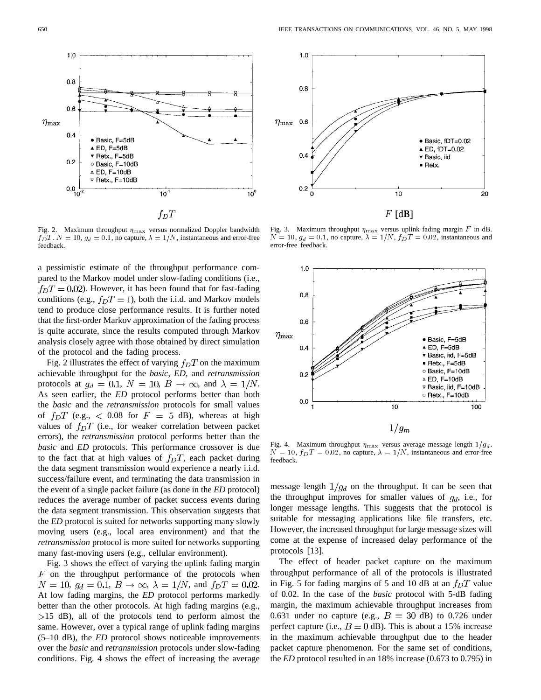

Fig. 2. Maximum throughput  $\eta_{\text{max}}$  versus normalized Doppler bandwidth  $f_{D}T$ .  $N = 10$ ,  $g_{d} = 0.1$ , no capture,  $\lambda = 1/N$ , instantaneous and error-free feedback.

a pessimistic estimate of the throughput performance compared to the Markov model under slow-fading conditions (i.e.,  $f_D T = 0.02$ ). However, it has been found that for fast-fading conditions (e.g.,  $f_D T = 1$ ), both the i.i.d. and Markov models tend to produce close performance results. It is further noted that the first-order Markov approximation of the fading process is quite accurate, since the results computed through Markov analysis closely agree with those obtained by direct simulation of the protocol and the fading process.

Fig. 2 illustrates the effect of varying  $f_D T$  on the maximum achievable throughput for the *basic*, *ED*, and *retransmission* protocols at  $g_d = 0.1, N = 10, B \rightarrow \infty$ , and  $\lambda = 1/N$ . As seen earlier, the *ED* protocol performs better than both the *basic* and the *retransmission* protocols for small values of  $f_D T$  (e.g., < 0.08 for  $F = 5$  dB), whereas at high values of  $f_D T$  (i.e., for weaker correlation between packet errors), the *retransmission* protocol performs better than the *basic* and *ED* protocols. This performance crossover is due to the fact that at high values of  $f_D T$ , each packet during the data segment transmission would experience a nearly i.i.d. success/failure event, and terminating the data transmission in the event of a single packet failure (as done in the *ED* protocol) reduces the average number of packet success events during the data segment transmission. This observation suggests that the *ED* protocol is suited for networks supporting many slowly moving users (e.g., local area environment) and that the *retransmission* protocol is more suited for networks supporting many fast-moving users (e.g., cellular environment).

Fig. 3 shows the effect of varying the uplink fading margin  $F$  on the throughput performance of the protocols when  $N = 10$ ,  $g_d = 0.1$ ,  $B \to \infty$ ,  $\lambda = 1/N$ , and  $f_pT = 0.02$ . At low fading margins, the *ED* protocol performs markedly better than the other protocols. At high fading margins (e.g.,  $>15$  dB), all of the protocols tend to perform almost the same. However, over a typical range of uplink fading margins (5–10 dB), the *ED* protocol shows noticeable improvements over the *basic* and *retransmission* protocols under slow-fading conditions. Fig. 4 shows the effect of increasing the average



Fig. 3. Maximum throughput  $\eta_{\text{max}}$  versus uplink fading margin F in dB.  $N = 10$ ,  $g_d = 0.1$ , no capture,  $\lambda = 1/N$ ,  $f_D T = 0.02$ , instantaneous and error-free feedback.



Fig. 4. Maximum throughput  $\eta_{\text{max}}$  versus average message length  $1/g_d$ .  $N = 10$ ,  $f_D T = 0.02$ , no capture,  $\lambda = 1/N$ , instantaneous and error-free feedback.

message length  $1/g_d$  on the throughput. It can be seen that the throughput improves for smaller values of  $g_d$ , i.e., for longer message lengths. This suggests that the protocol is suitable for messaging applications like file transfers, etc. However, the increased throughput for large message sizes will come at the expense of increased delay performance of the protocols [13].

The effect of header packet capture on the maximum throughput performance of all of the protocols is illustrated in Fig. 5 for fading margins of 5 and 10 dB at an  $f_D T$  value of 0.02. In the case of the *basic* protocol with 5-dB fading margin, the maximum achievable throughput increases from 0.631 under no capture (e.g.,  $B = 30$  dB) to 0.726 under perfect capture (i.e.,  $B = 0$  dB). This is about a 15% increase in the maximum achievable throughput due to the header packet capture phenomenon. For the same set of conditions, the *ED* protocol resulted in an 18% increase (0.673 to 0.795) in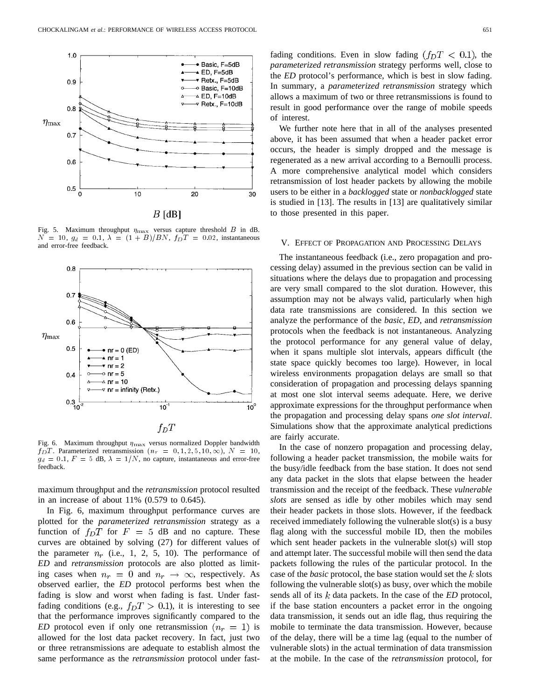

Fig. 5. Maximum throughput  $\eta_{\text{max}}$  versus capture threshold  $B$  in dB.  $N = 10$ ,  $g_d = 0.1$ ,  $\lambda = (1 + B)/BN$ ,  $f_D T = 0.02$ , instantaneous and error-free feedback.



Fig. 6. Maximum throughput  $\eta_{\text{max}}$  versus normalized Doppler bandwidth  $f_D T$ . Parameterized retransmission  $(n_r = 0, 1, 2, 5, 10, \infty), N = 10$ ,  $g_d = 0.1, F = 5$  dB,  $\lambda = 1/N$ , no capture, instantaneous and error-free feedback.

maximum throughput and the *retransmission* protocol resulted in an increase of about 11% (0.579 to 0.645).

In Fig. 6, maximum throughput performance curves are plotted for the *parameterized retransmission* strategy as a function of  $f_D T$  for  $F = 5$  dB and no capture. These curves are obtained by solving (27) for different values of the parameter  $n_r$  (i.e., 1, 2, 5, 10). The performance of *ED* and *retransmission* protocols are also plotted as limiting cases when  $n_r = 0$  and  $n_r \rightarrow \infty$ , respectively. As observed earlier, the *ED* protocol performs best when the fading is slow and worst when fading is fast. Under fastfading conditions (e.g.,  $f_D T > 0.1$ ), it is interesting to see that the performance improves significantly compared to the *ED* protocol even if only one retransmission  $(n_r = 1)$  is allowed for the lost data packet recovery. In fact, just two or three retransmissions are adequate to establish almost the same performance as the *retransmission* protocol under fastfading conditions. Even in slow fading  $(f_D T < 0.1)$ , the *parameterized retransmission* strategy performs well, close to the *ED* protocol's performance, which is best in slow fading. In summary, a *parameterized retransmission* strategy which allows a maximum of two or three retransmissions is found to result in good performance over the range of mobile speeds of interest.

We further note here that in all of the analyses presented above, it has been assumed that when a header packet error occurs, the header is simply dropped and the message is regenerated as a new arrival according to a Bernoulli process. A more comprehensive analytical model which considers retransmission of lost header packets by allowing the mobile users to be either in a *backlogged* state or *nonbacklogged* state is studied in [13]. The results in [13] are qualitatively similar to those presented in this paper.

## V. EFFECT OF PROPAGATION AND PROCESSING DELAYS

The instantaneous feedback (i.e., zero propagation and processing delay) assumed in the previous section can be valid in situations where the delays due to propagation and processing are very small compared to the slot duration. However, this assumption may not be always valid, particularly when high data rate transmissions are considered. In this section we analyze the performance of the *basic*, *ED*, and *retransmission* protocols when the feedback is not instantaneous. Analyzing the protocol performance for any general value of delay, when it spans multiple slot intervals, appears difficult (the state space quickly becomes too large). However, in local wireless environments propagation delays are small so that consideration of propagation and processing delays spanning at most one slot interval seems adequate. Here, we derive approximate expressions for the throughput performance when the propagation and processing delay spans *one slot interval*. Simulations show that the approximate analytical predictions are fairly accurate.

In the case of nonzero propagation and processing delay, following a header packet transmission, the mobile waits for the busy/idle feedback from the base station. It does not send any data packet in the slots that elapse between the header transmission and the receipt of the feedback. These *vulnerable slots* are sensed as idle by other mobiles which may send their header packets in those slots. However, if the feedback received immediately following the vulnerable slot(s) is a busy flag along with the successful mobile ID, then the mobiles which sent header packets in the vulnerable slot(s) will stop and attempt later. The successful mobile will then send the data packets following the rules of the particular protocol. In the case of the *basic* protocol, the base station would set the  $k$  slots following the vulnerable slot(s) as busy, over which the mobile sends all of its  $k$  data packets. In the case of the  $ED$  protocol, if the base station encounters a packet error in the ongoing data transmission, it sends out an idle flag, thus requiring the mobile to terminate the data transmission. However, because of the delay, there will be a time lag (equal to the number of vulnerable slots) in the actual termination of data transmission at the mobile. In the case of the *retransmission* protocol, for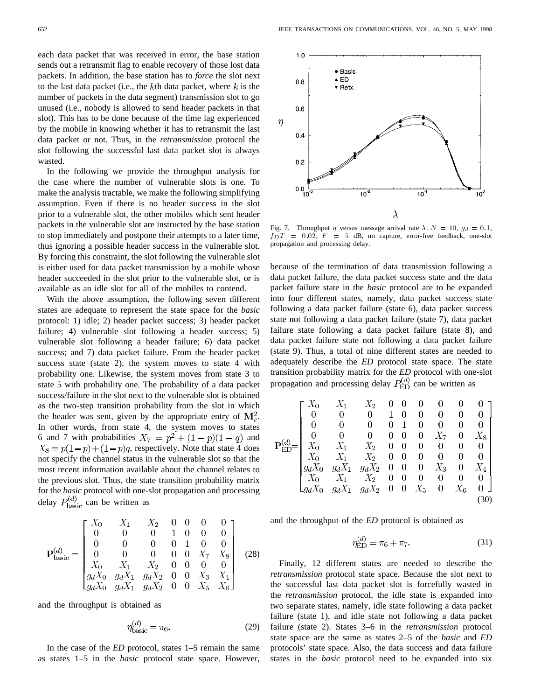each data packet that was received in error, the base station sends out a retransmit flag to enable recovery of those lost data packets. In addition, the base station has to *force* the slot next to the last data packet (i.e., the  $k$ th data packet, where  $k$  is the number of packets in the data segment) transmission slot to go unused (i.e., nobody is allowed to send header packets in that slot). This has to be done because of the time lag experienced by the mobile in knowing whether it has to retransmit the last data packet or not. Thus, in the *retransmission* protocol the slot following the successful last data packet slot is always wasted.

In the following we provide the throughput analysis for the case where the number of vulnerable slots is one. To make the analysis tractable, we make the following simplifying assumption. Even if there is no header success in the slot prior to a vulnerable slot, the other mobiles which sent header packets in the vulnerable slot are instructed by the base station to stop immediately and postpone their attempts to a later time, thus ignoring a possible header success in the vulnerable slot. By forcing this constraint, the slot following the vulnerable slot is either used for data packet transmission by a mobile whose header succeeded in the slot prior to the vulnerable slot, or is available as an idle slot for all of the mobiles to contend.

With the above assumption, the following seven different states are adequate to represent the state space for the *basic* protocol: 1) idle; 2) header packet success; 3) header packet failure; 4) vulnerable slot following a header success; 5) vulnerable slot following a header failure; 6) data packet success; and 7) data packet failure. From the header packet success state (state 2), the system moves to state 4 with probability one. Likewise, the system moves from state 3 to state 5 with probability one. The probability of a data packet success/failure in the slot next to the vulnerable slot is obtained as the two-step transition probability from the slot in which the header was sent, given by the appropriate entry of  $\mathbf{M}_{c}^{2}$ . In other words, from state 4, the system moves to states 6 and 7 with probabilities  $X_7 = p^2 + (1-p)(1-q)$  and  $X_8 = p(1-p)+(1-p)q$ , respectively. Note that state 4 does not specify the channel status in the vulnerable slot so that the most recent information available about the channel relates to the previous slot. Thus, the state transition probability matrix for the *basic* protocol with one-slot propagation and processing delay  $P_{\text{basic}}^{(d)}$  can be written as

$$
\mathbf{P}_{\text{basic}}^{(d)} = \begin{bmatrix} X_0 & X_1 & X_2 & 0 & 0 & 0 & 0 \\ 0 & 0 & 0 & 1 & 0 & 0 & 0 \\ 0 & 0 & 0 & 0 & 1 & 0 & 0 \\ 0 & 0 & 0 & 0 & 0 & X_7 & X_8 \\ X_0 & X_1 & X_2 & 0 & 0 & 0 & 0 \\ g_d X_0 & g_d X_1 & g_d X_2 & 0 & 0 & X_3 & X_4 \\ g_d X_0 & g_d X_1 & g_d X_2 & 0 & 0 & X_5 & X_6 \end{bmatrix} \quad (28)
$$

and the throughput is obtained as

$$
\eta_{\text{basic}}^{(d)} = \pi_6. \tag{29}
$$

In the case of the *ED* protocol, states 1–5 remain the same as states 1–5 in the *basic* protocol state space. However,



Fig. 7. Throughput  $\eta$  versus message arrival rate  $\lambda$ .  $N = 10$ ,  $g_d = 0.1$ ,  $f_D T = 0.02$ ,  $F = 5$  dB, no capture, error-free feedback, one-slot propagation and processing delay.

because of the termination of data transmission following a data packet failure, the data packet success state and the data packet failure state in the *basic* protocol are to be expanded into four different states, namely, data packet success state following a data packet failure (state 6), data packet success state not following a data packet failure (state 7), data packet failure state following a data packet failure (state 8), and data packet failure state not following a data packet failure (state 9). Thus, a total of nine different states are needed to adequately describe the *ED* protocol state space. The state transition probability matrix for the *ED* protocol with one-slot propagation and processing delay  $P_{\text{ED}}^{(d)}$  can be written as

$$
\mathbf{P}_{\rm ED}^{(d)} = \begin{bmatrix} X_0 & X_1 & X_2 & 0 & 0 & 0 & 0 & 0 & 0 \\ 0 & 0 & 0 & 1 & 0 & 0 & 0 & 0 & 0 \\ 0 & 0 & 0 & 0 & 1 & 0 & 0 & 0 & 0 \\ 0 & 0 & 0 & 0 & 0 & 0 & X_7 & 0 & X_8 \\ X_0 & X_1 & X_2 & 0 & 0 & 0 & 0 & 0 & 0 \\ X_0 & X_1 & X_2 & 0 & 0 & 0 & 0 & 0 & 0 \\ g_d X_0 & g_d X_1 & g_d X_2 & 0 & 0 & 0 & 0 & 0 & 0 \\ g_d X_0 & g_d X_1 & g_d X_2 & 0 & 0 & X_5 & 0 & X_6 & 0 \end{bmatrix}
$$
 (30)

and the throughput of the *ED* protocol is obtained as

$$
\eta_{\rm ED}^{(d)} = \pi_6 + \pi_7. \tag{31}
$$

Finally, 12 different states are needed to describe the *retransmission* protocol state space. Because the slot next to the successful last data packet slot is forcefully wasted in the *retransmission* protocol, the idle state is expanded into two separate states, namely, idle state following a data packet failure (state 1), and idle state not following a data packet failure (state 2). States 3–6 in the *retransmission* protocol state space are the same as states 2–5 of the *basic* and *ED* protocols' state space. Also, the data success and data failure states in the *basic* protocol need to be expanded into six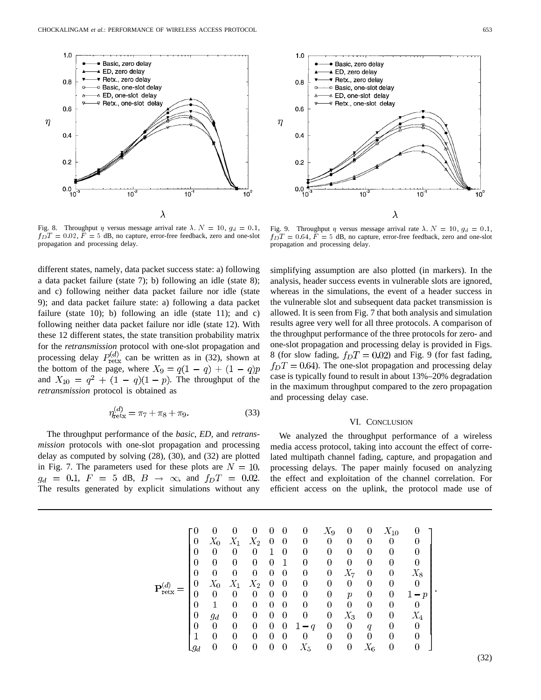

Fig. 8. Throughput  $\eta$  versus message arrival rate  $\lambda$ .  $N = 10$ ,  $g_d = 0.1$ ,  $f_D T = 0.02$ ,  $F = 5$  dB, no capture, error-free feedback, zero and one-slot propagation and processing delay.

different states, namely, data packet success state: a) following a data packet failure (state 7); b) following an idle (state 8); and c) following neither data packet failure nor idle (state 9); and data packet failure state: a) following a data packet failure (state 10); b) following an idle (state 11); and c) following neither data packet failure nor idle (state 12). With these 12 different states, the state transition probability matrix for the *retransmission* protocol with one-slot propagation and processing delay  $P_{\text{retx}}^{(a)}$  can be written as in (32), shown at the bottom of the page, where and  $X_{10} = q^2 + (1 - q)(1 - p)$ . The throughput of the *retransmission* protocol is obtained as

$$
\eta_{\text{retx}}^{(d)} = \pi_7 + \pi_8 + \pi_9. \tag{33}
$$

The throughput performance of the *basic*, *ED*, and *retransmission* protocols with one-slot propagation and processing delay as computed by solving (28), (30), and (32) are plotted in Fig. 7. The parameters used for these plots are  $N = 10$ ,  $g_d = 0.1, F = 5$  dB,  $B \rightarrow \infty$ , and  $f_D T = 0.02$ . The results generated by explicit simulations without any



Fig. 9. Throughput  $\eta$  versus message arrival rate  $\lambda$ .  $N = 10$ ,  $g_d = 0.1$ ,  $f_D T = 0.64$ ,  $F = 5$  dB, no capture, error-free feedback, zero and one-slot propagation and processing delay.

simplifying assumption are also plotted (in markers). In the analysis, header success events in vulnerable slots are ignored, whereas in the simulations, the event of a header success in the vulnerable slot and subsequent data packet transmission is allowed. It is seen from Fig. 7 that both analysis and simulation results agree very well for all three protocols. A comparison of the throughput performance of the three protocols for zero- and one-slot propagation and processing delay is provided in Figs. 8 (for slow fading,  $f_D T = 0.02$ ) and Fig. 9 (for fast fading,  $f_D T = 0.64$ ). The one-slot propagation and processing delay case is typically found to result in about 13%–20% degradation in the maximum throughput compared to the zero propagation and processing delay case.

# VI. CONCLUSION

We analyzed the throughput performance of a wireless media access protocol, taking into account the effect of correlated multipath channel fading, capture, and propagation and processing delays. The paper mainly focused on analyzing the effect and exploitation of the channel correlation. For efficient access on the uplink, the protocol made use of

$$
\mathbf{P}_{\text{retx}}^{(d)} = \begin{bmatrix} 0 & 0 & 0 & 0 & 0 & 0 & 0 & X_9 & 0 & 0 & X_{10} & 0 \\ 0 & X_0 & X_1 & X_2 & 0 & 0 & 0 & 0 & 0 & 0 & 0 & 0 \\ 0 & 0 & 0 & 0 & 1 & 0 & 0 & 0 & 0 & 0 & 0 & 0 \\ 0 & 0 & 0 & 0 & 0 & 1 & 0 & 0 & 0 & 0 & 0 & 0 \\ 0 & X_0 & X_1 & X_2 & 0 & 0 & 0 & 0 & 0 & 0 & 0 & 0 \\ 0 & 0 & 0 & 0 & 0 & 0 & 0 & 0 & 0 & 0 & 0 & 0 \\ 0 & 1 & 0 & 0 & 0 & 0 & 0 & 0 & 0 & 0 & 0 & 0 \\ 0 & g_d & 0 & 0 & 0 & 0 & 0 & 0 & 0 & 0 & 0 & 0 \\ 0 & 0 & 0 & 0 & 0 & 0 & 0 & 0 & X_3 & 0 & 0 & X_4 \\ 0 & 0 & 0 & 0 & 0 & 0 & 0 & 0 & 0 & 0 & 0 & 0 \\ 1 & 0 & 0 & 0 & 0 & 0 & 0 & 0 & 0 & 0 & 0 & 0 \\ g_d & 0 & 0 & 0 & 0 & 0 & X_5 & 0 & 0 & X_6 & 0 & 0 \end{bmatrix}.
$$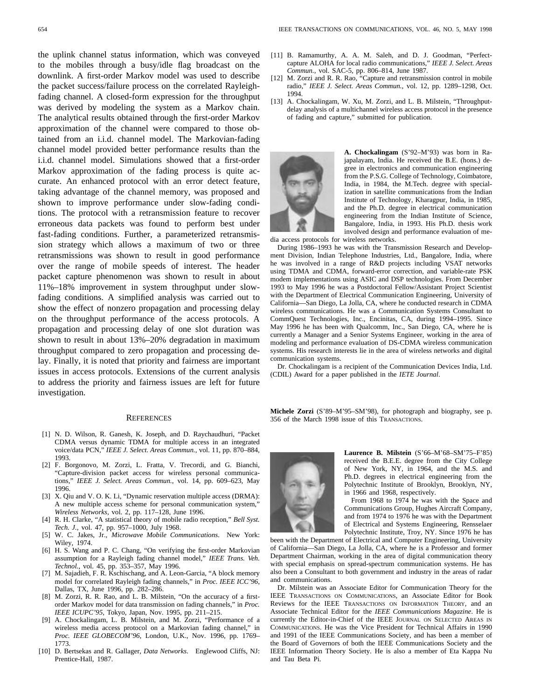the uplink channel status information, which was conveyed to the mobiles through a busy/idle flag broadcast on the downlink. A first-order Markov model was used to describe the packet success/failure process on the correlated Rayleighfading channel. A closed-form expression for the throughput was derived by modeling the system as a Markov chain. The analytical results obtained through the first-order Markov approximation of the channel were compared to those obtained from an i.i.d. channel model. The Markovian-fading channel model provided better performance results than the i.i.d. channel model. Simulations showed that a first-order Markov approximation of the fading process is quite accurate. An enhanced protocol with an error detect feature, taking advantage of the channel memory, was proposed and shown to improve performance under slow-fading conditions. The protocol with a retransmission feature to recover erroneous data packets was found to perform best under fast-fading conditions. Further, a parameterized retransmission strategy which allows a maximum of two or three retransmissions was shown to result in good performance over the range of mobile speeds of interest. The header packet capture phenomenon was shown to result in about 11%–18% improvement in system throughput under slowfading conditions. A simplified analysis was carried out to show the effect of nonzero propagation and processing delay on the throughput performance of the access protocols. A propagation and processing delay of one slot duration was shown to result in about 13%–20% degradation in maximum throughput compared to zero propagation and processing delay. Finally, it is noted that priority and fairness are important issues in access protocols. Extensions of the current analysis to address the priority and fairness issues are left for future investigation.

#### **REFERENCES**

- [1] N. D. Wilson, R. Ganesh, K. Joseph, and D. Raychaudhuri, "Packet CDMA versus dynamic TDMA for multiple access in an integrated voice/data PCN," *IEEE J. Select. Areas Commun.*, vol. 11, pp. 870–884, 1993.
- [2] F. Borgonovo, M. Zorzi, L. Fratta, V. Trecordi, and G. Bianchi, "Capture-division packet access for wireless personal communications," *IEEE J. Select. Areas Commun.*, vol. 14, pp. 609–623, May 1996.
- [3] X. Qiu and V. O. K. Li, "Dynamic reservation multiple access (DRMA): A new multiple access scheme for personal communication system," *Wireless Networks*, vol. 2, pp. 117–128, June 1996.
- [4] R. H. Clarke, "A statistical theory of mobile radio reception," *Bell Syst. Tech. J.*, vol. 47, pp. 957–1000, July 1968.
- [5] W. C. Jakes, Jr., *Microwave Mobile Communications*. New York: Wiley, 1974.
- [6] H. S. Wang and P. C. Chang, "On verifying the first-order Markovian assumption for a Rayleigh fading channel model," *IEEE Trans. Veh. Technol.*, vol. 45, pp. 353–357, May 1996.
- [7] M. Sajadieh, F. R. Kschischang, and A. Leon-Garcia, "A block memory model for correlated Rayleigh fading channels," in *Proc. IEEE ICC'96*, Dallas, TX, June 1996, pp. 282–286.
- M. Zorzi, R. R. Rao, and L. B. Milstein, "On the accuracy of a firstorder Markov model for data transmission on fading channels," in *Proc. IEEE ICUPC'95*, Tokyo, Japan, Nov. 1995, pp. 211–215.
- [9] A. Chockalingam, L. B. Milstein, and M. Zorzi, "Performance of a wireless media access protocol on a Markovian fading channel," in *Proc. IEEE GLOBECOM'96*, London, U.K., Nov. 1996, pp. 1769– 1773.
- [10] D. Bertsekas and R. Gallager, *Data Networks*. Englewood Cliffs, NJ: Prentice-Hall, 1987.
- [11] B. Ramamurthy, A. A. M. Saleh, and D. J. Goodman, "Perfectcapture ALOHA for local radio communications," *IEEE J. Select. Areas Commun.*, vol. SAC-5, pp. 806–814, June 1987.
- [12] M. Zorzi and R. R. Rao, "Capture and retransmission control in mobile radio," *IEEE J. Select. Areas Commun.*, vol. 12, pp. 1289–1298, Oct. 1994.
- [13] A. Chockalingam, W. Xu, M. Zorzi, and L. B. Milstein, "Throughputdelay analysis of a multichannel wireless access protocol in the presence of fading and capture," submitted for publication.



**A. Chockalingam** (S'92–M'93) was born in Rajapalayam, India. He received the B.E. (hons.) degree in electronics and communication engineering from the P.S.G. College of Technology, Coimbatore, India, in 1984, the M.Tech. degree with specialization in satellite communications from the Indian Institute of Technology, Kharagpur, India, in 1985, and the Ph.D. degree in electrical communication engineering from the Indian Institute of Science, Bangalore, India, in 1993. His Ph.D. thesis work involved design and performance evaluation of me-

dia access protocols for wireless networks.

During 1986–1993 he was with the Transmission Research and Development Division, Indian Telephone Industries, Ltd., Bangalore, India, where he was involved in a range of R&D projects including VSAT networks using TDMA and CDMA, forward-error correction, and variable-rate PSK modem implementations using ASIC and DSP technologies. From December 1993 to May 1996 he was a Postdoctoral Fellow/Assistant Project Scientist with the Department of Electrical Communication Engineering, University of California—San Diego, La Jolla, CA, where he conducted research in CDMA wireless communications. He was a Communication Systems Consultant to CommQuest Technologies, Inc., Encinitas, CA, during 1994–1995. Since May 1996 he has been with Qualcomm, Inc., San Diego, CA, where he is currently a Manager and a Senior Systems Engineer, working in the area of modeling and performance evaluation of DS-CDMA wireless communication systems. His research interests lie in the area of wireless networks and digital communication systems.

Dr. Chockalingam is a recipient of the Communication Devices India, Ltd. (CDIL) Award for a paper published in the *IETE Journal*.

**Michele Zorzi** (S'89–M'95–SM'98), for photograph and biography, see p. 356 of the March 1998 issue of this TRANSACTIONS.



**Laurence B. Milstein** (S'66–M'68–SM'75–F'85) received the B.E.E. degree from the City College of New York, NY, in 1964, and the M.S. and Ph.D. degrees in electrical engineering from the Polytechnic Institute of Brooklyn, Brooklyn, NY, in 1966 and 1968, respectively.

From 1968 to 1974 he was with the Space and Communications Group, Hughes Aircraft Company, and from 1974 to 1976 he was with the Department of Electrical and Systems Engineering, Rensselaer Polytechnic Institute, Troy, NY. Since 1976 he has

been with the Department of Electrical and Computer Engineering, University of California—San Diego, La Jolla, CA, where he is a Professor and former Department Chairman, working in the area of digital communication theory with special emphasis on spread-spectrum communication systems. He has also been a Consultant to both government and industry in the areas of radar and communications.

Dr. Milstein was an Associate Editor for Communication Theory for the IEEE TRANSACTIONS ON COMMUNICATIONS, an Associate Editor for Book Reviews for the IEEE TRANSACTIONS ON INFORMATION THEORY, and an Associate Technical Editor for the *IEEE Communications Magazine*. He is currently the Editor-in-Chief of the IEEE JOURNAL ON SELECTED AREAS IN COMMUNICATIONS. He was the Vice President for Technical Affairs in 1990 and 1991 of the IEEE Communications Society, and has been a member of the Board of Governors of both the IEEE Communications Society and the IEEE Information Theory Society. He is also a member of Eta Kappa Nu and Tau Beta Pi.